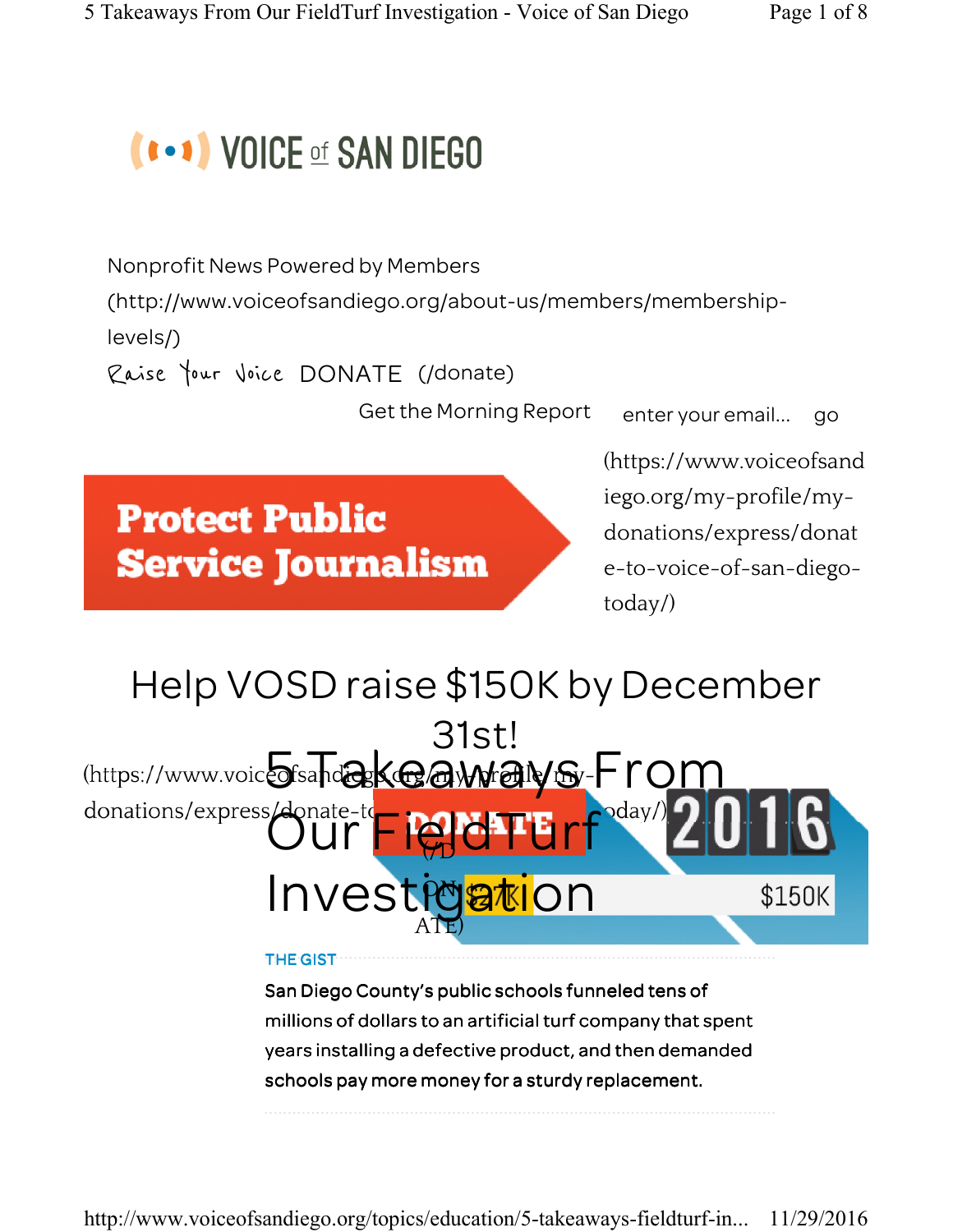# **(\*\*\*) VOICE of SAN DIEGO**

Nonprofit News Powered by Members

(http://www.voiceofsandiego.org/about-us/members/membership-

levels/)

Raise Your Voice DONATE (/donate)

Get the Morning Report enter your email... go

**Protect Public Service Journalism**  (https://www.voiceofsand iego.org/my-profile/mydonations/express/donat e-to-voice-of-san-diegotoday/)

#### Help VOSD raise \$150K by December 31st! (https://www.voicofsandakGawadwallers-Fro donations/express/donate-to- not FFIELDOday  $\biguplus$ Investigation \$150K ATE)

#### THE GIST

San Diego County's public schools funneled tens of millions of dollars to an artificial turf company that spent years installing a defective product, and then demanded schools pay more money for a sturdy replacement.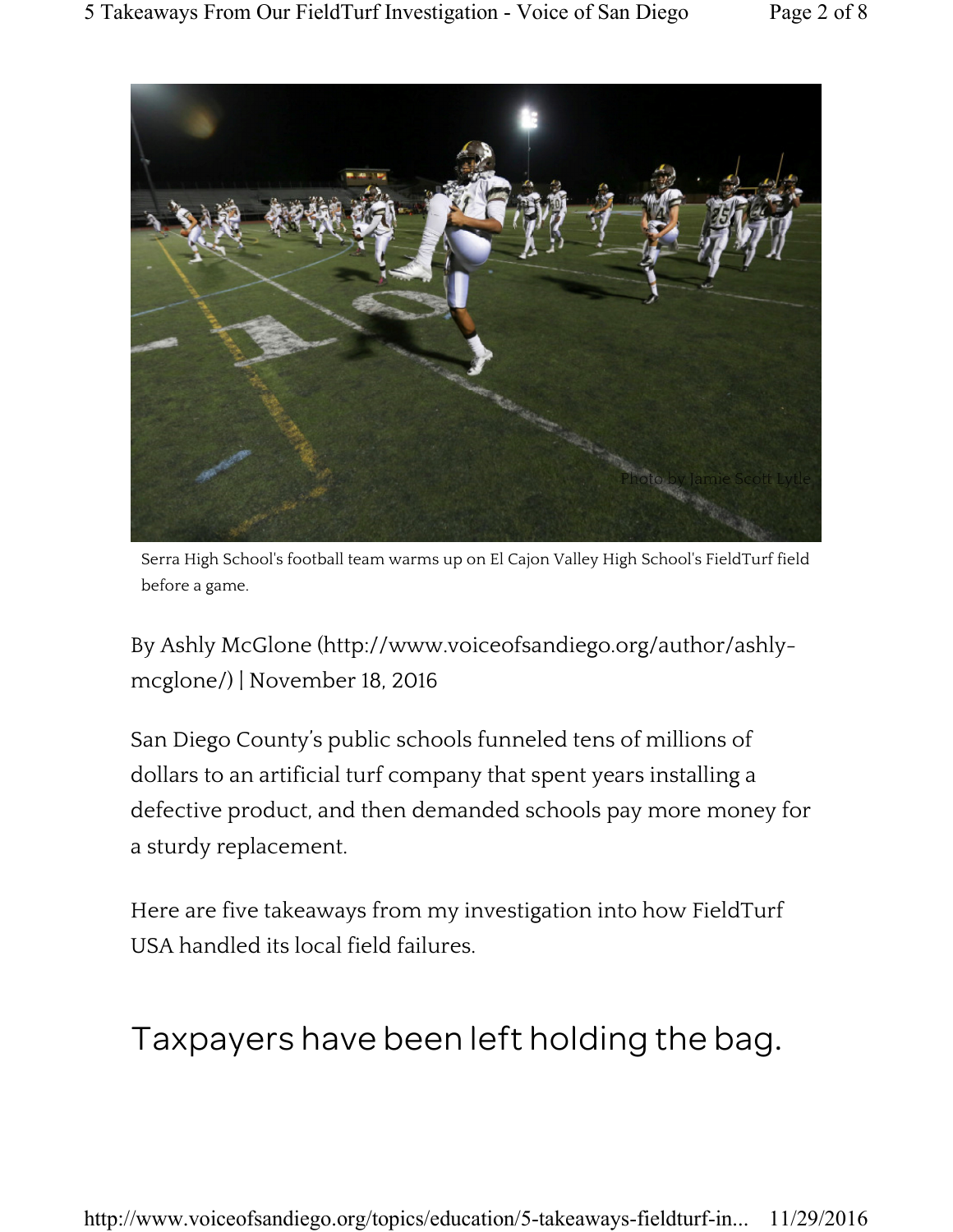

Serra High School's football team warms up on El Cajon Valley High School's FieldTurf field before a game.

By Ashly McGlone (http://www.voiceofsandiego.org/author/ashlymcglone/) | November 18, 2016

San Diego County's public schools funneled tens of millions of dollars to an artificial turf company that spent years installing a defective product, and then demanded schools pay more money for a sturdy replacement.

Here are five takeaways from my investigation into how FieldTurf USA handled its local field failures.

#### Taxpayers have been left holding the bag.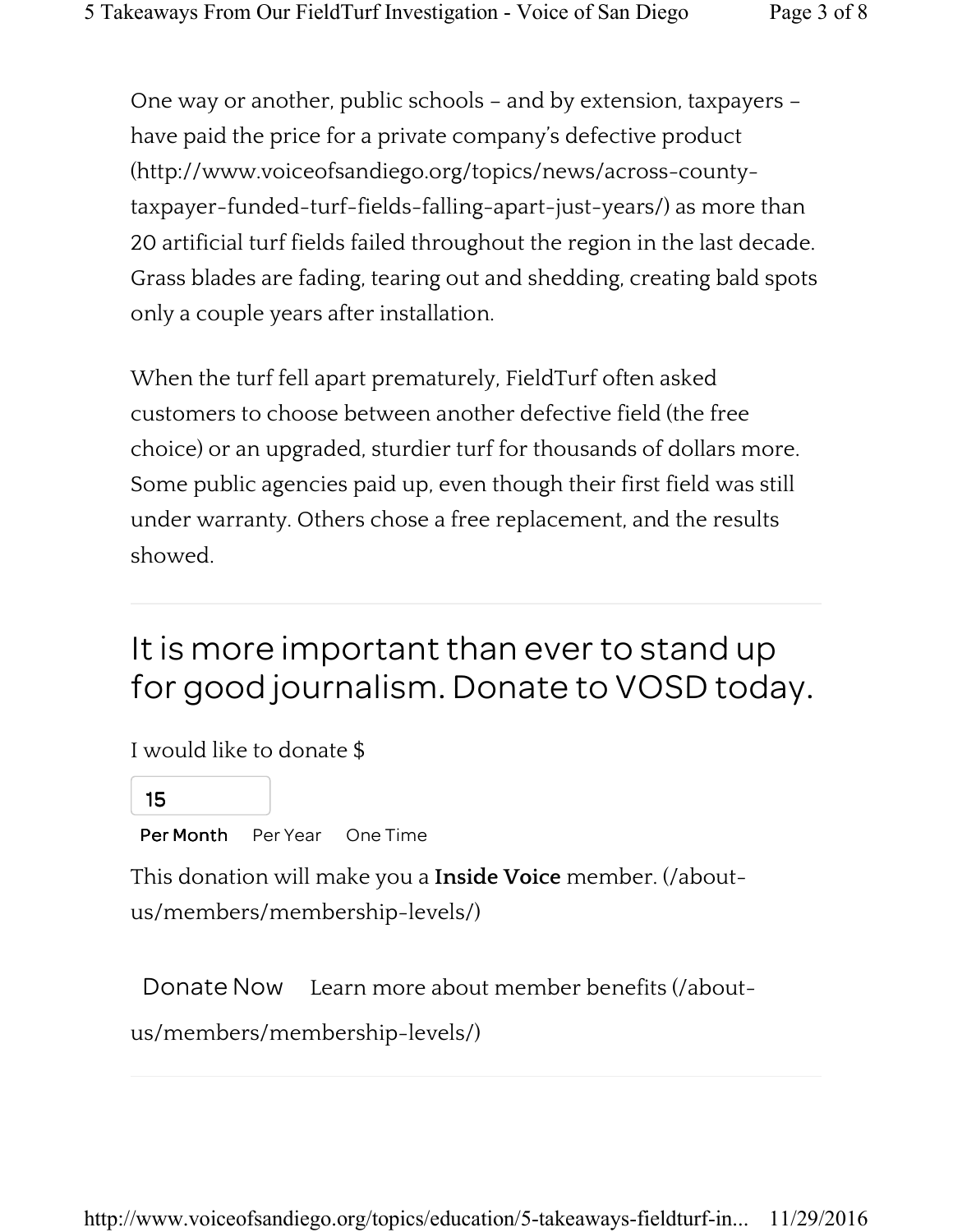One way or another, public schools – and by extension, taxpayers – have paid the price for a private company's defective product (http://www.voiceofsandiego.org/topics/news/across-countytaxpayer-funded-turf-fields-falling-apart-just-years/) as more than 20 artificial turf fields failed throughout the region in the last decade. Grass blades are fading, tearing out and shedding, creating bald spots only a couple years after installation.

When the turf fell apart prematurely, FieldTurf often asked customers to choose between another defective field (the free choice) or an upgraded, sturdier turf for thousands of dollars more. Some public agencies paid up, even though their first field was still under warranty. Others chose a free replacement, and the results showed.

## It is more important than ever to stand up for good journalism. Donate to VOSD today.

I would like to donate \$

15

Per Month Per Year One Time

This donation will make you a Inside Voice member. (/aboutus/members/membership-levels/)

Donate Now Learn more about member benefits (/about-

us/members/membership-levels/)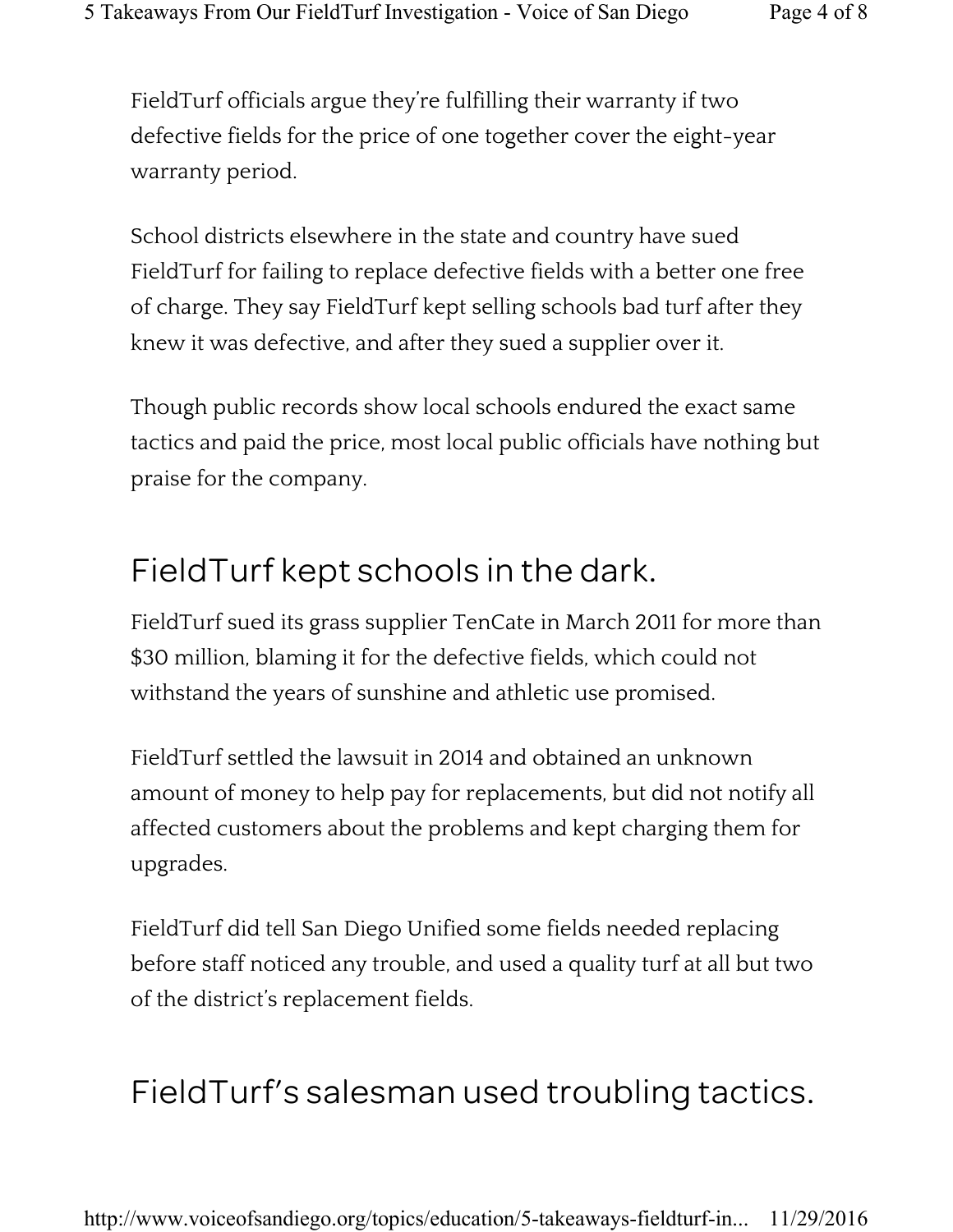FieldTurf officials argue they're fulfilling their warranty if two defective fields for the price of one together cover the eight-year warranty period.

School districts elsewhere in the state and country have sued FieldTurf for failing to replace defective fields with a better one free of charge. They say FieldTurf kept selling schools bad turf after they knew it was defective, and after they sued a supplier over it.

Though public records show local schools endured the exact same tactics and paid the price, most local public officials have nothing but praise for the company.

## FieldTurf kept schools in the dark.

FieldTurf sued its grass supplier TenCate in March 2011 for more than \$30 million, blaming it for the defective fields, which could not withstand the years of sunshine and athletic use promised.

FieldTurf settled the lawsuit in 2014 and obtained an unknown amount of money to help pay for replacements, but did not notify all affected customers about the problems and kept charging them for upgrades.

FieldTurf did tell San Diego Unified some fields needed replacing before staff noticed any trouble, and used a quality turf at all but two of the district's replacement fields.

# FieldTurf's salesman used troubling tactics.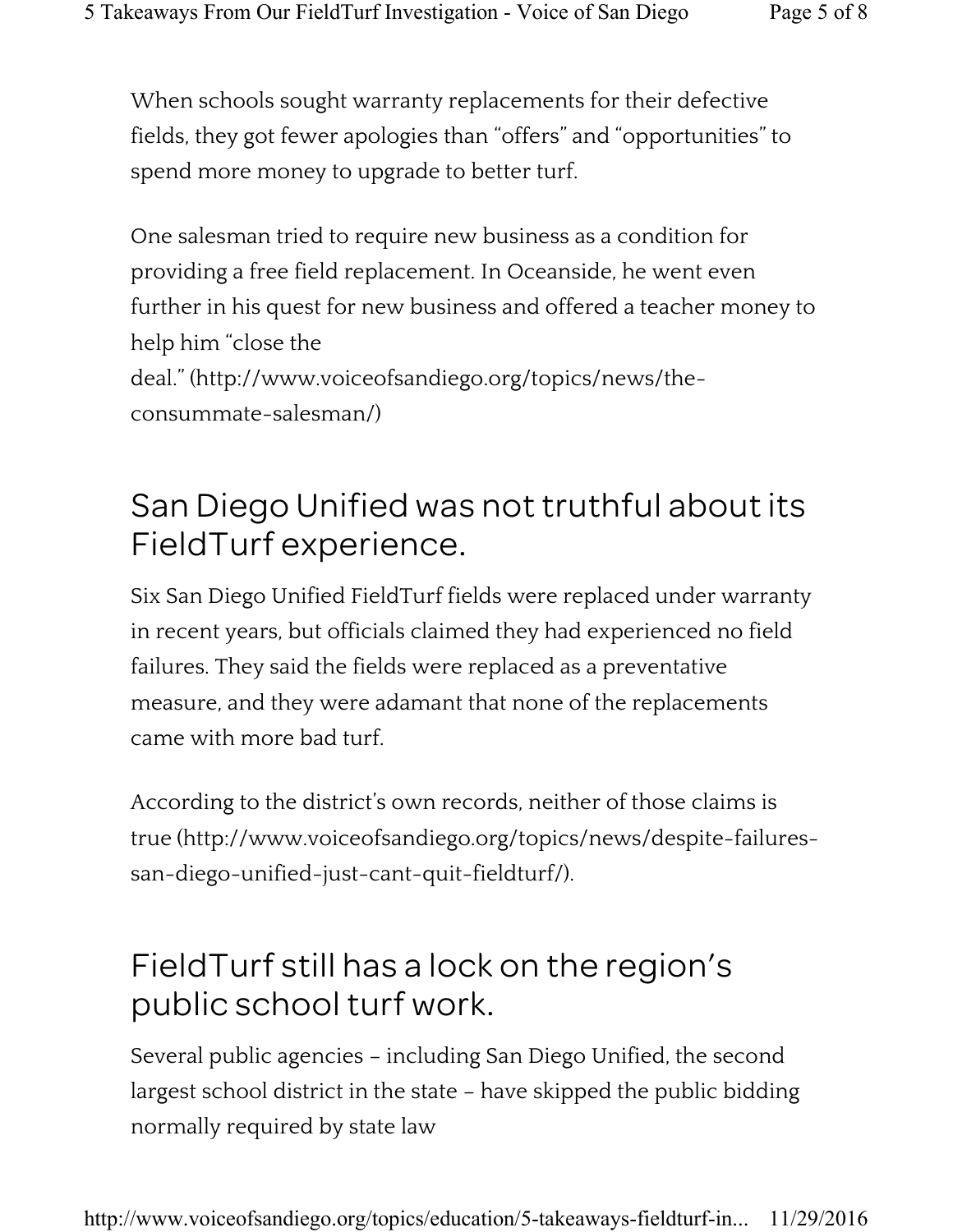When schools sought warranty replacements for their defective fields, they got fewer apologies than "offers" and "opportunities" to spend more money to upgrade to better turf.

One salesman tried to require new business as a condition for providing a free field replacement. In Oceanside, he went even further in his quest for new business and offered a teacher money to help him "close the deal." (http://www.voiceofsandiego.org/topics/news/theconsummate-salesman/)

## San Diego Unified was not truthful about its FieldTurf experience.

Six San Diego Unified FieldTurf fields were replaced under warranty in recent years, but officials claimed they had experienced no field failures. They said the fields were replaced as a preventative measure, and they were adamant that none of the replacements came with more bad turf.

According to the district's own records, neither of those claims is true (http://www.voiceofsandiego.org/topics/news/despite-failuressan-diego-unified-just-cant-quit-fieldturf/).

## FieldTurf still has a lock on the region's public school turf work.

Several public agencies – including San Diego Unified, the second largest school district in the state – have skipped the public bidding normally required by state law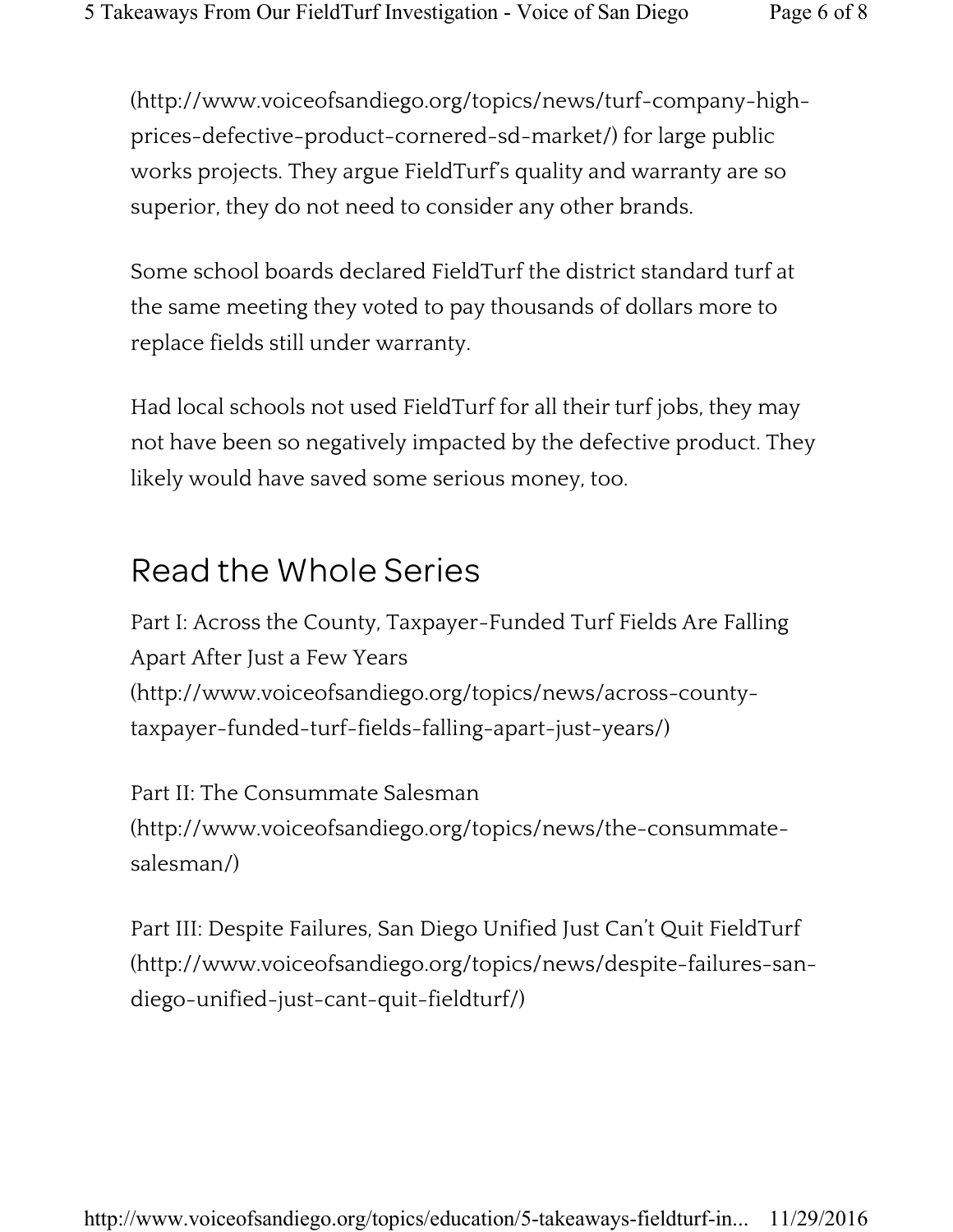(http://www.voiceofsandiego.org/topics/news/turf-company-highprices-defective-product-cornered-sd-market/) for large public works projects. They argue FieldTurf's quality and warranty are so superior, they do not need to consider any other brands.

Some school boards declared FieldTurf the district standard turf at the same meeting they voted to pay thousands of dollars more to replace fields still under warranty.

Had local schools not used FieldTurf for all their turf jobs, they may not have been so negatively impacted by the defective product. They likely would have saved some serious money, too.

#### Read the Whole Series

Part I: Across the County, Taxpayer-Funded Turf Fields Are Falling Apart After Just a Few Years (http://www.voiceofsandiego.org/topics/news/across-countytaxpayer-funded-turf-fields-falling-apart-just-years/)

Part II: The Consummate Salesman (http://www.voiceofsandiego.org/topics/news/the-consummatesalesman/)

Part III: Despite Failures, San Diego Unified Just Can't Quit FieldTurf (http://www.voiceofsandiego.org/topics/news/despite-failures-sandiego-unified-just-cant-quit-fieldturf/)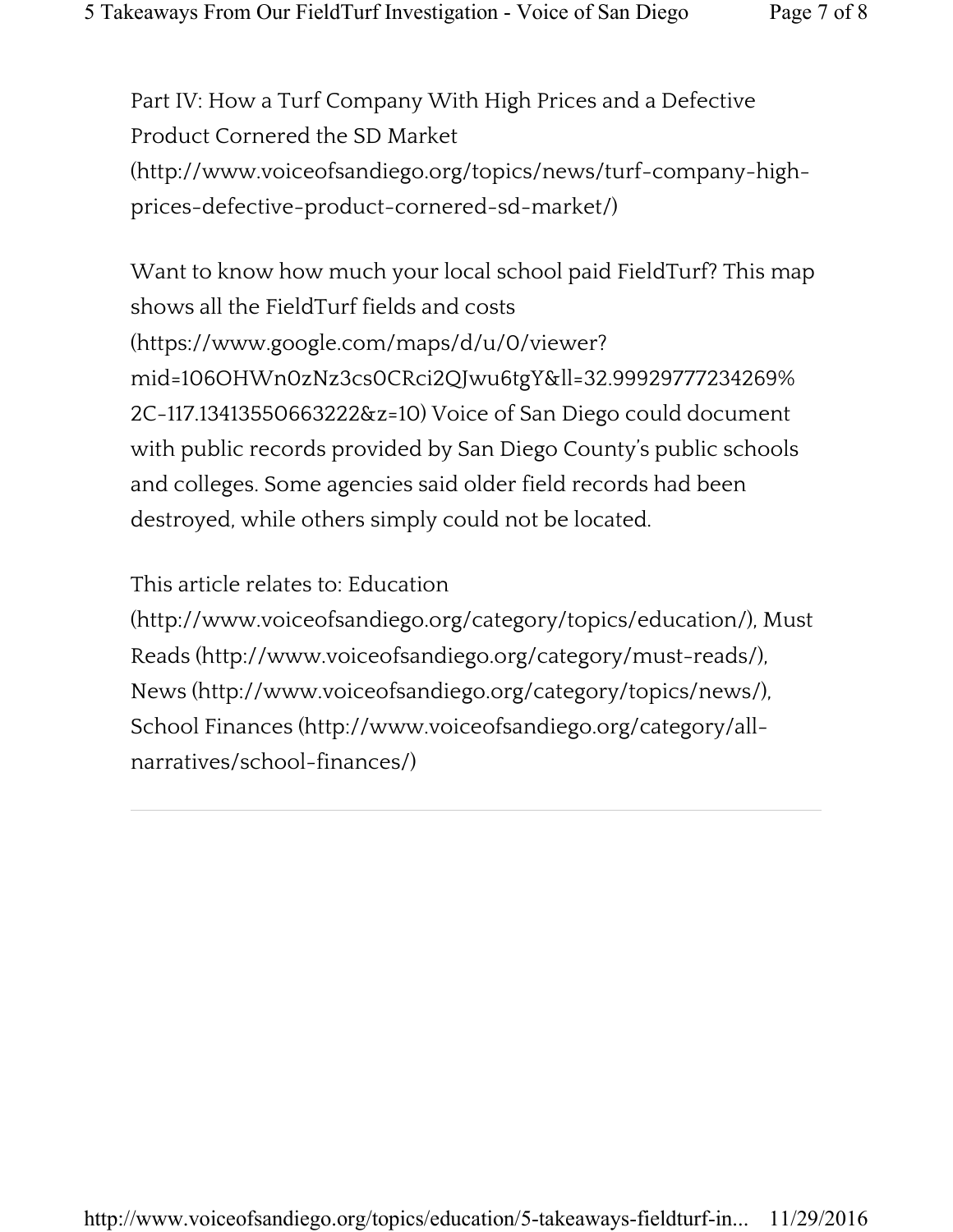Part IV: How a Turf Company With High Prices and a Defective Product Cornered the SD Market (http://www.voiceofsandiego.org/topics/news/turf-company-highprices-defective-product-cornered-sd-market/)

Want to know how much your local school paid FieldTurf? This map shows all the FieldTurf fields and costs (https://www.google.com/maps/d/u/0/viewer? mid=106OHWn0zNz3cs0CRci2QJwu6tgY&ll=32.99929777234269% 2C-117.13413550663222&z=10) Voice of San Diego could document with public records provided by San Diego County's public schools and colleges. Some agencies said older field records had been destroyed, while others simply could not be located.

This article relates to: Education

(http://www.voiceofsandiego.org/category/topics/education/), Must Reads (http://www.voiceofsandiego.org/category/must-reads/), News (http://www.voiceofsandiego.org/category/topics/news/), School Finances (http://www.voiceofsandiego.org/category/allnarratives/school-finances/)